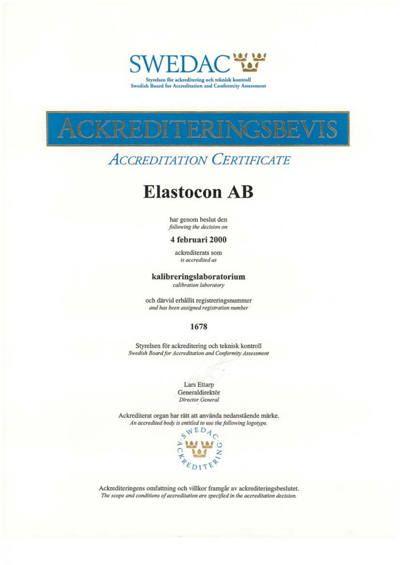

Swedish Board for Accreditation and Conformity Assessment



# **ACCREDITATION CERTIFICATE**

# **Elastocon AB**

har genom beslut den following the decision on

#### 4 februari 2000

ackrediterats som is accredited as

#### kalibreringslaboratorium

calibration laboratory

och därvid erhållit registreringsnummer and has been assigned registration number

### 1678

Styrelsen för ackreditering och teknisk kontroll Swedish Board for Accreditation and Conformity Assessment

> Lars Ettarp Generaldirektör Director General

Ackrediterat organ har rätt att använda nedanstående märke. An accredited body is entitled to use the following logotype.



Ackrediteringens omfattning och villkor framgår av ackrediteringsbeslutet. The scope and conditions of accreditation are specified in the accreditation decision.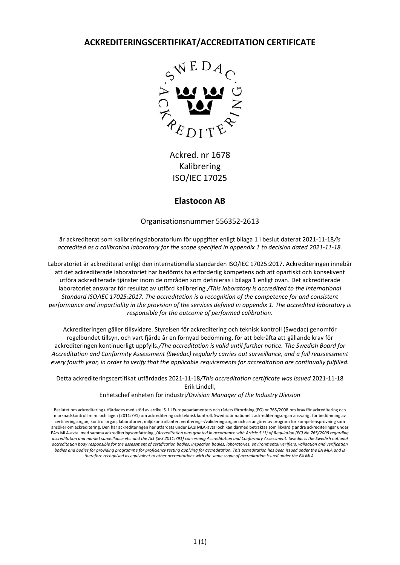**ACKREDITERINGSCERTIFIKAT/ACCREDITATION CERTIFICATE**



Ackred. nr 1678 Kalibrering ISO/IEC 17025

### **Elastocon AB**

Organisationsnummer 556352-2613

är ackrediterat som kalibreringslaboratorium för uppgifter enligt bilaga 1 i beslut daterat 2021-11-18*/is accredited as a calibration laboratory for the scope specified in appendix 1 to decision dated 2021-11-18.*

Laboratoriet är ackrediterat enligt den internationella standarden ISO/IEC 17025:2017. Ackrediteringen innebär att det ackrediterade laboratoriet har bedömts ha erforderlig kompetens och att opartiskt och konsekvent utföra ackrediterade tjänster inom de områden som definieras i bilaga 1 enligt ovan. Det ackrediterade laboratoriet ansvarar för resultat av utförd kalibrering.*/This laboratory is accredited to the International Standard ISO/IEC 17025:2017. The accreditation is a recognition of the competence for and consistent performance and impartiality in the provision of the services defined in appendix 1. The accredited laboratory is responsible for the outcome of performed calibration.*

Ackrediteringen gäller tillsvidare. Styrelsen för ackreditering och teknisk kontroll (Swedac) genomför regelbundet tillsyn, och vart fjärde år en förnyad bedömning, för att bekräfta att gällande krav för ackrediteringen kontinuerligt uppfylls*./The accreditation is valid until further notice. The Swedish Board for Accreditation and Conformity Assessment (Swedac) regularly carries out surveillance, and a full reassessment every fourth year, in order to verify that the applicable requirements for accreditation are continually fulfilled.*

Detta ackrediteringscertifikat utfärdades 2021-11-18*/This accreditation certificate was issued* 2021-11-18 Erik Lindell,

Enhetschef enheten för industri*/Division Manager of the Industry Division*

Beslutet om ackreditering utfärdades med stöd av artikel 5.1 i Europaparlamentets och rådets förordning (EG) nr 765/2008 om krav för ackreditering och marknadskontroll m.m. och lagen (2011:791) om ackreditering och teknisk kontroll. Swedac är nationellt ackrediteringsorgan ansvarigt för bedömning av certifieringsorgan, kontrollorgan, laboratorier, miljökontrollanter, verifierings-/valideringsorgan och arrangörer av program för kompetensprövning som ansöker om ackreditering. Den här ackrediteringen har utfärdats under EA:s MLA-avtal och kan därmed betraktas som likvärdig andra ackrediteringar under EA:s MLA-avtal med samma ackrediteringsomfattning. */Accreditation was granted in accordance with Article 5 (1) of Regulation (EC) No 765/2008 regarding accreditation and market surveillance etc. and the Act (SFS 2011:791) concerning Accreditation and Conformity Assessment. Swedac is the Swedish national accreditation body responsible for the assessment of certification bodies, inspection bodies, laboratories, environmental verifiers, validation and verification bodies and bodies for providing programme for proficiency testing applying for accreditation. This accreditation has been issued under the EA MLA and is therefore recognised as equivalent to other accreditations with the same scope of accreditation issued under the EA MLA.*